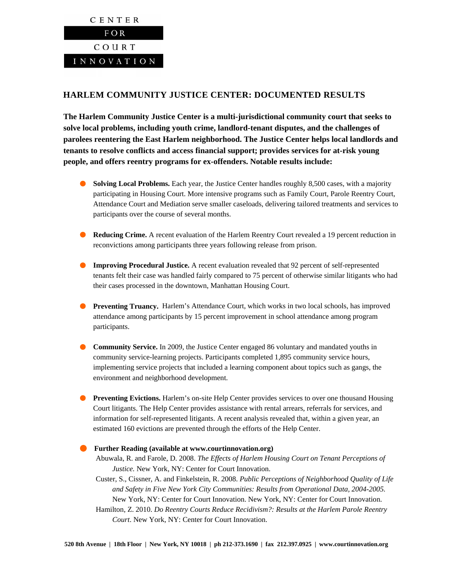

## **HARLEM COMMUNITY JUSTICE CENTER: DOCUMENTED RESULTS**

**The Harlem Community Justice Center is a multi-jurisdictional community court that seeks to solve local problems, including youth crime, landlord-tenant disputes, and the challenges of parolees reentering the East Harlem neighborhood. The Justice Center helps local landlords and tenants to resolve conflicts and access financial support; provides services for at-risk young people, and offers reentry programs for ex-offenders. Notable results include:** 

- **Solving Local Problems.** Each year, the Justice Center handles roughly 8,500 cases, with a majority participating in Housing Court. More intensive programs such as Family Court, Parole Reentry Court, Attendance Court and Mediation serve smaller caseloads, delivering tailored treatments and services to participants over the course of several months.
- **Reducing Crime.** A recent evaluation of the Harlem Reentry Court revealed a 19 percent reduction in reconvictions among participants three years following release from prison.
- **Improving Procedural Justice.** A recent evaluation revealed that 92 percent of self-represented tenants felt their case was handled fairly compared to 75 percent of otherwise similar litigants who had their cases processed in the downtown, Manhattan Housing Court.
- **Preventing Truancy.** Harlem's Attendance Court, which works in two local schools, has improved attendance among participants by 15 percent improvement in school attendance among program participants.
- **Community Service.** In 2009, the Justice Center engaged 86 voluntary and mandated youths in community service-learning projects. Participants completed 1,895 community service hours, implementing service projects that included a learning component about topics such as gangs, the environment and neighborhood development.
- **Preventing Evictions.** Harlem's on-site Help Center provides services to over one thousand Housing Court litigants. The Help Center provides assistance with rental arrears, referrals for services, and information for self-represented litigants. A recent analysis revealed that, within a given year, an estimated 160 evictions are prevented through the efforts of the Help Center.

## **Further Reading (available at www.courtinnovation.org)**

- Abuwala, R. and Farole, D. 2008. *The Effects of Harlem Housing Court on Tenant Perceptions of Justice.* New York, NY: Center for Court Innovation.
- Custer, S., Cissner, A. and Finkelstein, R. 2008. *Public Perceptions of Neighborhood Quality of Life and Safety in Five New York City Communities: Results from Operational Data, 2004-2005.* New York, NY: Center for Court Innovation. New York, NY: Center for Court Innovation.
- Hamilton, Z. 2010. *Do Reentry Courts Reduce Recidivism?: Results at the Harlem Parole Reentry Court*. New York, NY: Center for Court Innovation.